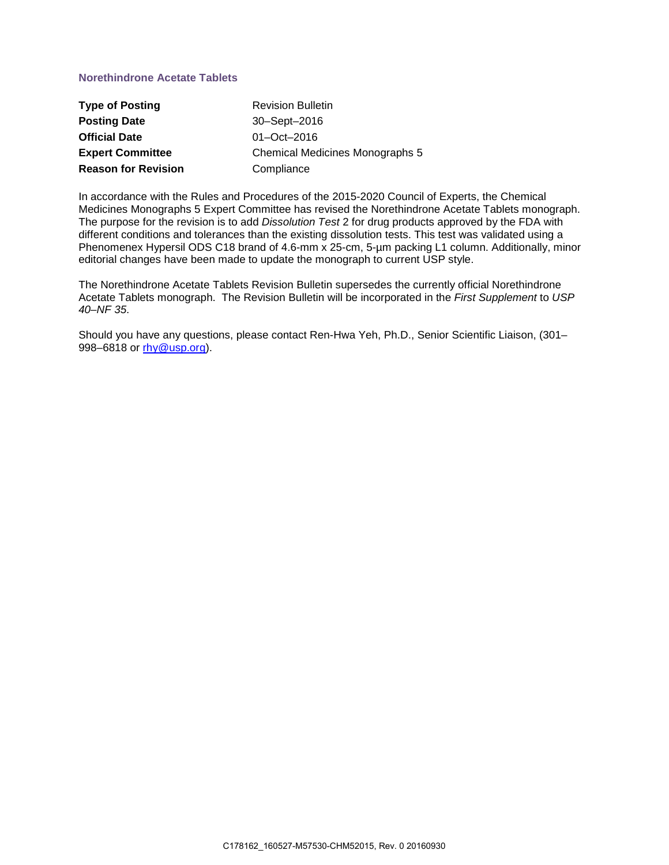## **Norethindrone Acetate Tablets**

| <b>Type of Posting</b>     | <b>Revision Bulletin</b>               |
|----------------------------|----------------------------------------|
| <b>Posting Date</b>        | 30-Sept-2016                           |
| <b>Official Date</b>       | $01 - Oct - 2016$                      |
| <b>Expert Committee</b>    | <b>Chemical Medicines Monographs 5</b> |
| <b>Reason for Revision</b> | Compliance                             |

In accordance with the Rules and Procedures of the 2015-2020 Council of Experts, the Chemical Medicines Monographs 5 Expert Committee has revised the Norethindrone Acetate Tablets monograph. The purpose for the revision is to add *Dissolution Test* 2 for drug products approved by the FDA with different conditions and tolerances than the existing dissolution tests. This test was validated using a Phenomenex Hypersil ODS C18 brand of 4.6-mm x 25-cm, 5-um packing L1 column. Additionally, minor editorial changes have been made to update the monograph to current USP style.

The Norethindrone Acetate Tablets Revision Bulletin supersedes the currently official Norethindrone Acetate Tablets monograph. The Revision Bulletin will be incorporated in the *First Supplement* to *USP 40–NF 35*.

Should you have any questions, please contact Ren-Hwa Yeh, Ph.D., Senior Scientific Liaison, (301– 998–6818 or [rhy@usp.org\)](mailto:rhy@usp.org).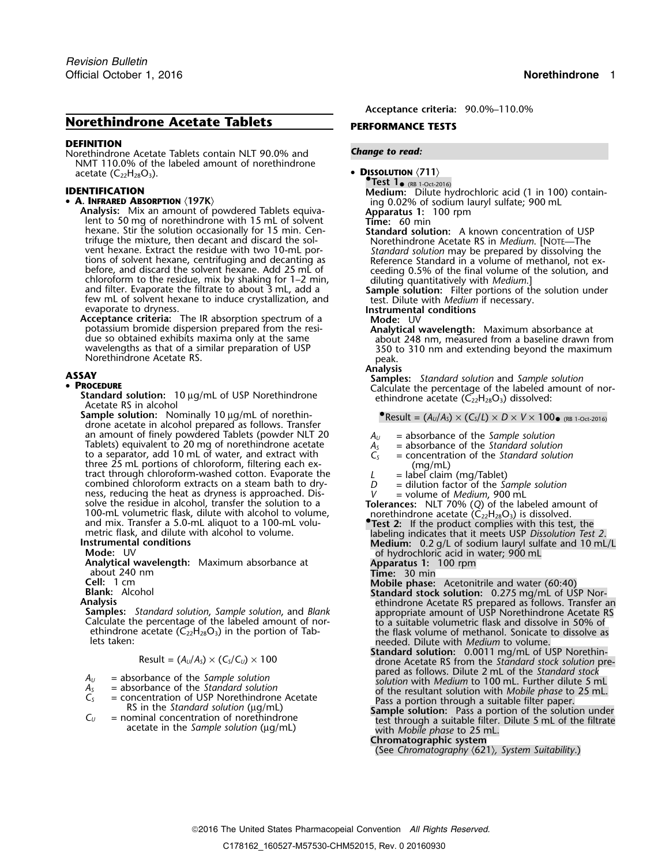# **Norethindrone Acetate Tablets PERFORMANCE TESTS**

### **DEFINITION**

Norethindrone Acetate Tablets contain NLT 90.0% and *Change to read:* NMT 110.0% of the labeled amount of norethindrone  $\alpha$  **DISSOLUTION**  $\langle 711 \rangle$ 

### • A. INFRARED ABSORPTION (197K)

**INFRARED ABSORPTION** (197K)<br> **Analysis:** Mix an amount of powdered Tablets equiva-<br>
lent to 50 mg of norethindrone with 15 mL of solvent<br>
hexane. Stir the solution occasionally for 15 min. Cen-<br> **Standard solution:** A kno trifuge the mixture, then decant and discard the sol-<br>vent hexane. Extract the residue with two 10-mL por-<br>*Standard solution* may be prepared by dissolving the Find the same centrifuging and decarting as<br>before, and discard the solvent hexane, centrifuging and decarting as<br>before, and discard the solvent hexane. Add 25 mL of<br>ceeding 0.5% of the final volume of methanol, not ex-<br>c

**Acceptance criteria:** The IR absorption spectrum of a **Mode:** UV potassium bromide dispersion prepared from the resi-<br>**Analytical** potassium bromide dispersion prepared from the resi- **Analytical wavelength:** Maximum absorbance at

**Process Calculate Standard solution:** 10 µg/mL of USP Norethindrone external calculate the percentage of the labeled amount of the labeled acetate (C<sub>22</sub>H<sub>28</sub>O<sub>3</sub>) dissolved:

**Sample solution:** Nominally 10 µg/mL of norethin-<br>
•Result =  $(A_0/A_5) \times (C_5/L) \times D \times V \times 100$  (RB 1-Oct-2016) drone acetate in alcohol prepared as follows. Transfer<br>an amount of finely powdered Tablets (powder NLT 20 an amount of finely powdered Tablets (powder NLT 20<br>
Tablets) equivalent to 20 mg of norethindrone acetate  $A_S$  = absorbance of the Standard solution<br>
to a separator, add 10 mL of water, and extract with  $C_S$  = concentrat to a separator, add 10 mL of water, and extract with *three 25 mL portions of chloroform*, filtering each exthree 25 mL portions of chloroform, filtering each ex-<br>
tract through chloroform-washed cotton. Evaporate the<br>
tract hrough combined chloroform-washed conton. Evaporate the<br>
respective in alcohol, transfer the solution of

lets taken: needed. Dilute with *Medium* to volume.

$$
Result = (A_U/A_S) \times (C_S/C_U) \times 100
$$

$$
u_{\nu}
$$
 = absorbance of the Sample solution

- 
- 
- 

**Acceptance criteria:** 90.0%–110.0%

**.Test 1**• (RB 1-Oct-2016) **IDENTIFICATION IDENTIFICATION Medium:** Dilute hydrochloric acid (1 in 100) contain-

**Standard solution:** A known concentration of USP

test. Dilute with *Medium* if necessary.<br>Instrumental conditions

wavelengths as that of a similar preparation of USP 350 to 310 nm and extending beyond the maximum<br>Norethindrone Acetate RS.<br>**Analysis** Analysis

**Analysis ASSAY Samples:** *Standard solution* and *Sample solution* •

- 
- 
- 
- 
- 
- 

- 
- 

- 
- **Cell:** 1 cm<br> **Blank:** Alcohol<br> **Standard solution, Sample solution, and Blank<br>
Calculate the percentage of the labeled amount of nor-<br>
<b>Calculate the percentage of the labeled amount of nor-**<br> **Calculate the percentage o** the flask volume of methanol. Sonicate to dissolve as
- **Standard solution:** 0.0011 mg/mL of USP Norethin-<br>drone Acetate RS from the *Standard stock solution* pre-<br>pared as follows. Dilute 2 mL of the *Standard stock*  $A<sub>0</sub>$  = absorbance of the Sample solution<br>  $A<sub>5</sub>$  = absorbance of the Standard solution<br>  $C<sub>S</sub>$  = concentration of USP Norethindrone Acetate<br>
RS in the Standard solution (µg/mL)<br>  $C<sub>U</sub>$  = nominal concentra
	-

**Chromatographic system**

(See *Chromatography* 〈621〉*, System Suitability*.)